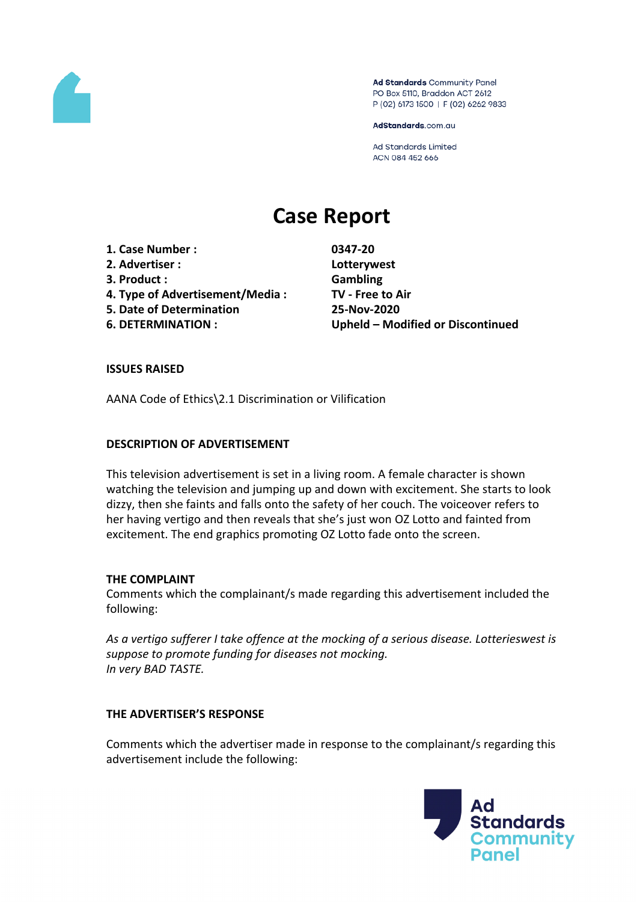

Ad Standards Community Panel PO Box 5110, Braddon ACT 2612 P (02) 6173 1500 | F (02) 6262 9833

AdStandards.com.au

Ad Standards Limited ACN 084 452 666

# **Case Report**

- **1. Case Number : 0347-20**
- **2. Advertiser : Lotterywest**
- **3. Product : Gambling**
- **4. Type of Advertisement/Media : TV - Free to Air**
- **5. Date of Determination 25-Nov-2020**
- 

**6. DETERMINATION : Upheld – Modified or Discontinued**

# **ISSUES RAISED**

AANA Code of Ethics\2.1 Discrimination or Vilification

# **DESCRIPTION OF ADVERTISEMENT**

This television advertisement is set in a living room. A female character is shown watching the television and jumping up and down with excitement. She starts to look dizzy, then she faints and falls onto the safety of her couch. The voiceover refers to her having vertigo and then reveals that she's just won OZ Lotto and fainted from excitement. The end graphics promoting OZ Lotto fade onto the screen.

## **THE COMPLAINT**

Comments which the complainant/s made regarding this advertisement included the following:

*As a vertigo sufferer I take offence at the mocking of a serious disease. Lotterieswest is suppose to promote funding for diseases not mocking. In very BAD TASTE.*

## **THE ADVERTISER'S RESPONSE**

Comments which the advertiser made in response to the complainant/s regarding this advertisement include the following:

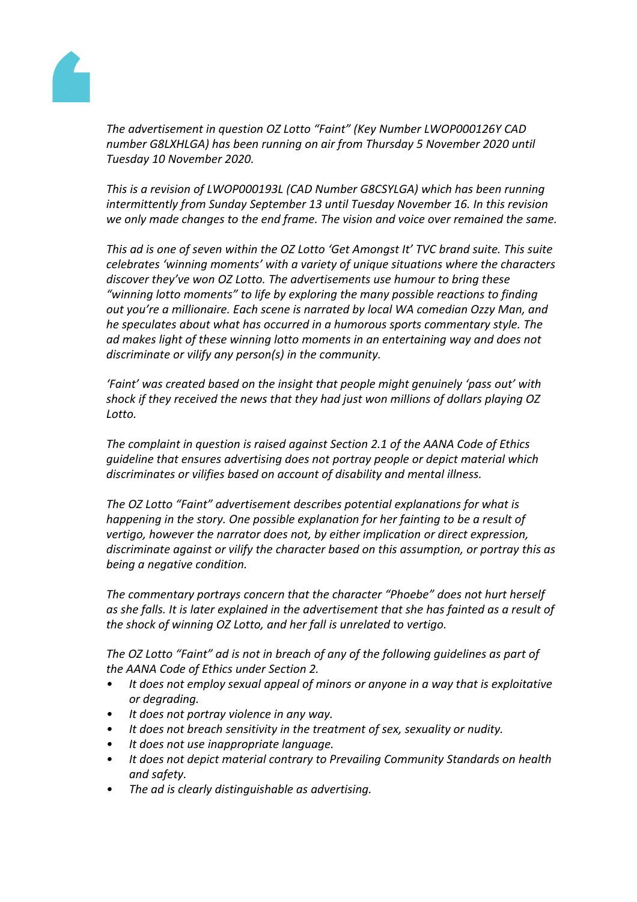

*The advertisement in question OZ Lotto "Faint" (Key Number LWOP000126Y CAD number G8LXHLGA) has been running on air from Thursday 5 November 2020 until Tuesday 10 November 2020.*

*This is a revision of LWOP000193L (CAD Number G8CSYLGA) which has been running intermittently from Sunday September 13 until Tuesday November 16. In this revision we only made changes to the end frame. The vision and voice over remained the same.*

*This ad is one of seven within the OZ Lotto 'Get Amongst It' TVC brand suite. This suite celebrates 'winning moments' with a variety of unique situations where the characters discover they've won OZ Lotto. The advertisements use humour to bring these "winning lotto moments" to life by exploring the many possible reactions to finding out you're a millionaire. Each scene is narrated by local WA comedian Ozzy Man, and he speculates about what has occurred in a humorous sports commentary style. The ad makes light of these winning lotto moments in an entertaining way and does not discriminate or vilify any person(s) in the community.*

*'Faint' was created based on the insight that people might genuinely 'pass out' with shock if they received the news that they had just won millions of dollars playing OZ Lotto.*

*The complaint in question is raised against Section 2.1 of the AANA Code of Ethics guideline that ensures advertising does not portray people or depict material which discriminates or vilifies based on account of disability and mental illness.*

*The OZ Lotto "Faint" advertisement describes potential explanations for what is happening in the story. One possible explanation for her fainting to be a result of vertigo, however the narrator does not, by either implication or direct expression, discriminate against or vilify the character based on this assumption, or portray this as being a negative condition.*

*The commentary portrays concern that the character "Phoebe" does not hurt herself as she falls. It is later explained in the advertisement that she has fainted as a result of the shock of winning OZ Lotto, and her fall is unrelated to vertigo.*

*The OZ Lotto "Faint" ad is not in breach of any of the following guidelines as part of the AANA Code of Ethics under Section 2.*

- *• It does not employ sexual appeal of minors or anyone in a way that is exploitative or degrading.*
- *• It does not portray violence in any way.*
- *• It does not breach sensitivity in the treatment of sex, sexuality or nudity.*
- *• It does not use inappropriate language.*
- *• It does not depict material contrary to Prevailing Community Standards on health and safety.*
- *• The ad is clearly distinguishable as advertising.*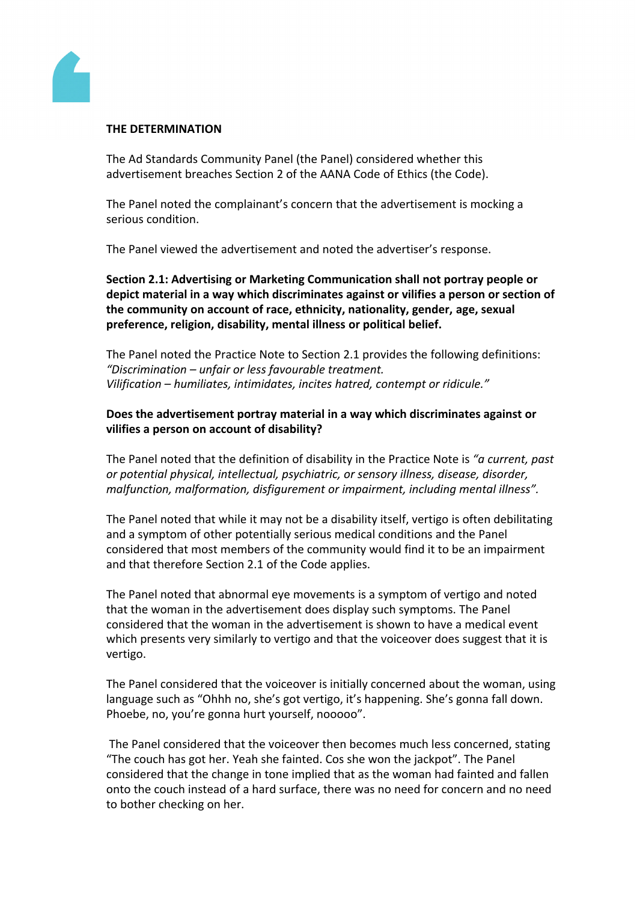

#### **THE DETERMINATION**

The Ad Standards Community Panel (the Panel) considered whether this advertisement breaches Section 2 of the AANA Code of Ethics (the Code).

The Panel noted the complainant's concern that the advertisement is mocking a serious condition.

The Panel viewed the advertisement and noted the advertiser's response.

**Section 2.1: Advertising or Marketing Communication shall not portray people or depict material in a way which discriminates against or vilifies a person or section of the community on account of race, ethnicity, nationality, gender, age, sexual preference, religion, disability, mental illness or political belief.**

The Panel noted the Practice Note to Section 2.1 provides the following definitions: *"Discrimination – unfair or less favourable treatment. Vilification – humiliates, intimidates, incites hatred, contempt or ridicule."*

# **Does the advertisement portray material in a way which discriminates against or vilifies a person on account of disability?**

The Panel noted that the definition of disability in the Practice Note is *"a current, past or potential physical, intellectual, psychiatric, or sensory illness, disease, disorder, malfunction, malformation, disfigurement or impairment, including mental illness".*

The Panel noted that while it may not be a disability itself, vertigo is often debilitating and a symptom of other potentially serious medical conditions and the Panel considered that most members of the community would find it to be an impairment and that therefore Section 2.1 of the Code applies.

The Panel noted that abnormal eye movements is a symptom of vertigo and noted that the woman in the advertisement does display such symptoms. The Panel considered that the woman in the advertisement is shown to have a medical event which presents very similarly to vertigo and that the voiceover does suggest that it is vertigo.

The Panel considered that the voiceover is initially concerned about the woman, using language such as "Ohhh no, she's got vertigo, it's happening. She's gonna fall down. Phoebe, no, you're gonna hurt yourself, nooooo".

The Panel considered that the voiceover then becomes much less concerned, stating "The couch has got her. Yeah she fainted. Cos she won the jackpot". The Panel considered that the change in tone implied that as the woman had fainted and fallen onto the couch instead of a hard surface, there was no need for concern and no need to bother checking on her.